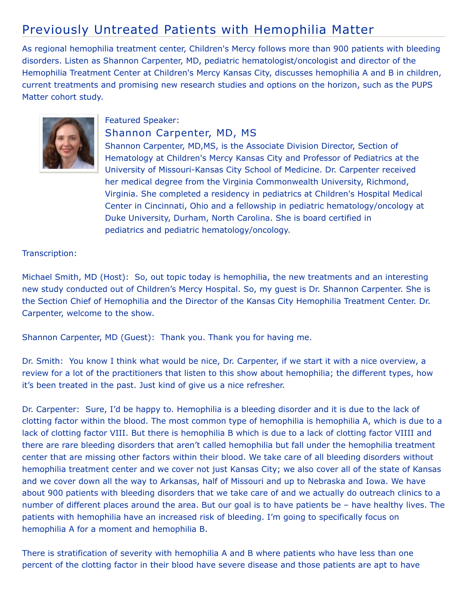## Previously Untreated Patients with Hemophilia Matter

As regional hemophilia treatment center, Children's Mercy follows more than 900 patients with bleeding disorders. Listen as Shannon Carpenter, MD, pediatric hematologist/oncologist and director of the Hemophilia Treatment Center at Children's Mercy Kansas City, discusses hemophilia A and B in children, current treatments and promising new research studies and options on the horizon, such as the PUPS Matter cohort study.



## Featured Speaker:

## Shannon Carpenter, MD, MS

Shannon Carpenter, MD,MS, is the Associate Division Director, Section of Hematology at Children's Mercy Kansas City and Professor of Pediatrics at the University of Missouri-Kansas City School of Medicine. Dr. Carpenter received her medical degree from the Virginia Commonwealth University, Richmond, Virginia. She completed a residency in pediatrics at Children's Hospital Medical Center in Cincinnati, Ohio and a fellowship in pediatric hematology/oncology at Duke University, Durham, North Carolina. She is board certified in pediatrics and pediatric hematology/oncology.

## Transcription:

Michael Smith, MD (Host): So, out topic today is hemophilia, the new treatments and an interesting new study conducted out of Children's Mercy Hospital. So, my guest is Dr. Shannon Carpenter. She is the Section Chief of Hemophilia and the Director of the Kansas City Hemophilia Treatment Center. Dr. Carpenter, welcome to the show.

Shannon Carpenter, MD (Guest): Thank you. Thank you for having me.

Dr. Smith: You know I think what would be nice, Dr. Carpenter, if we start it with a nice overview, a review for a lot of the practitioners that listen to this show about hemophilia; the different types, how it's been treated in the past. Just kind of give us a nice refresher.

Dr. Carpenter: Sure, I'd be happy to. Hemophilia is a bleeding disorder and it is due to the lack of clotting factor within the blood. The most common type of hemophilia is hemophilia A, which is due to a lack of clotting factor VIII. But there is hemophilia B which is due to a lack of clotting factor VIIII and there are rare bleeding disorders that aren't called hemophilia but fall under the hemophilia treatment center that are missing other factors within their blood. We take care of all bleeding disorders without hemophilia treatment center and we cover not just Kansas City; we also cover all of the state of Kansas and we cover down all the way to Arkansas, half of Missouri and up to Nebraska and Iowa. We have about 900 patients with bleeding disorders that we take care of and we actually do outreach clinics to a number of different places around the area. But our goal is to have patients be – have healthy lives. The patients with hemophilia have an increased risk of bleeding. I'm going to specifically focus on hemophilia A for a moment and hemophilia B.

There is stratification of severity with hemophilia A and B where patients who have less than one percent of the clotting factor in their blood have severe disease and those patients are apt to have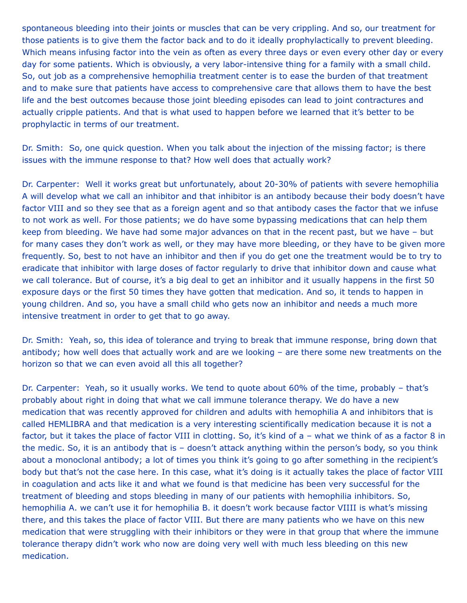spontaneous bleeding into their joints or muscles that can be very crippling. And so, our treatment for those patients is to give them the factor back and to do it ideally prophylactically to prevent bleeding. Which means infusing factor into the vein as often as every three days or even every other day or every day for some patients. Which is obviously, a very labor-intensive thing for a family with a small child. So, out job as a comprehensive hemophilia treatment center is to ease the burden of that treatment and to make sure that patients have access to comprehensive care that allows them to have the best life and the best outcomes because those joint bleeding episodes can lead to joint contractures and actually cripple patients. And that is what used to happen before we learned that it's better to be prophylactic in terms of our treatment.

Dr. Smith: So, one quick question. When you talk about the injection of the missing factor; is there issues with the immune response to that? How well does that actually work?

Dr. Carpenter: Well it works great but unfortunately, about 20-30% of patients with severe hemophilia A will develop what we call an inhibitor and that inhibitor is an antibody because their body doesn't have factor VIII and so they see that as a foreign agent and so that antibody cases the factor that we infuse to not work as well. For those patients; we do have some bypassing medications that can help them keep from bleeding. We have had some major advances on that in the recent past, but we have – but for many cases they don't work as well, or they may have more bleeding, or they have to be given more frequently. So, best to not have an inhibitor and then if you do get one the treatment would be to try to eradicate that inhibitor with large doses of factor regularly to drive that inhibitor down and cause what we call tolerance. But of course, it's a big deal to get an inhibitor and it usually happens in the first 50 exposure days or the first 50 times they have gotten that medication. And so, it tends to happen in young children. And so, you have a small child who gets now an inhibitor and needs a much more intensive treatment in order to get that to go away.

Dr. Smith: Yeah, so, this idea of tolerance and trying to break that immune response, bring down that antibody; how well does that actually work and are we looking – are there some new treatments on the horizon so that we can even avoid all this all together?

Dr. Carpenter: Yeah, so it usually works. We tend to quote about 60% of the time, probably – that's probably about right in doing that what we call immune tolerance therapy. We do have a new medication that was recently approved for children and adults with hemophilia A and inhibitors that is called HEMLIBRA and that medication is a very interesting scientifically medication because it is not a factor, but it takes the place of factor VIII in clotting. So, it's kind of a – what we think of as a factor 8 in the medic. So, it is an antibody that is – doesn't attack anything within the person's body, so you think about a monoclonal antibody; a lot of times you think it's going to go after something in the recipient's body but that's not the case here. In this case, what it's doing is it actually takes the place of factor VIII in coagulation and acts like it and what we found is that medicine has been very successful for the treatment of bleeding and stops bleeding in many of our patients with hemophilia inhibitors. So, hemophilia A. we can't use it for hemophilia B. it doesn't work because factor VIIII is what's missing there, and this takes the place of factor VIII. But there are many patients who we have on this new medication that were struggling with their inhibitors or they were in that group that where the immune tolerance therapy didn't work who now are doing very well with much less bleeding on this new medication.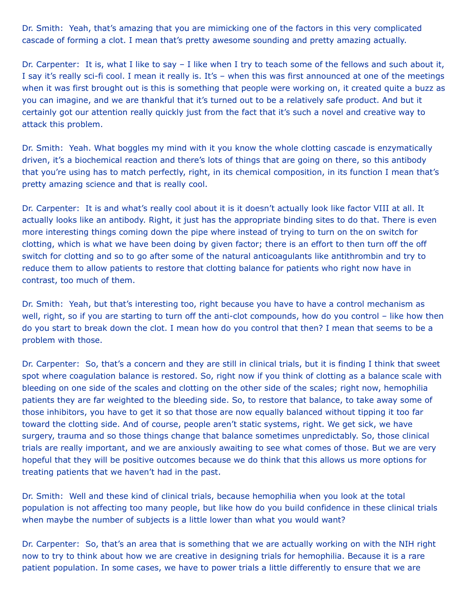Dr. Smith: Yeah, that's amazing that you are mimicking one of the factors in this very complicated cascade of forming a clot. I mean that's pretty awesome sounding and pretty amazing actually.

Dr. Carpenter: It is, what I like to say – I like when I try to teach some of the fellows and such about it, I say it's really sci-fi cool. I mean it really is. It's – when this was first announced at one of the meetings when it was first brought out is this is something that people were working on, it created quite a buzz as you can imagine, and we are thankful that it's turned out to be a relatively safe product. And but it certainly got our attention really quickly just from the fact that it's such a novel and creative way to attack this problem.

Dr. Smith: Yeah. What boggles my mind with it you know the whole clotting cascade is enzymatically driven, it's a biochemical reaction and there's lots of things that are going on there, so this antibody that you're using has to match perfectly, right, in its chemical composition, in its function I mean that's pretty amazing science and that is really cool.

Dr. Carpenter: It is and what's really cool about it is it doesn't actually look like factor VIII at all. It actually looks like an antibody. Right, it just has the appropriate binding sites to do that. There is even more interesting things coming down the pipe where instead of trying to turn on the on switch for clotting, which is what we have been doing by given factor; there is an effort to then turn off the off switch for clotting and so to go after some of the natural anticoagulants like antithrombin and try to reduce them to allow patients to restore that clotting balance for patients who right now have in contrast, too much of them.

Dr. Smith: Yeah, but that's interesting too, right because you have to have a control mechanism as well, right, so if you are starting to turn off the anti-clot compounds, how do you control – like how then do you start to break down the clot. I mean how do you control that then? I mean that seems to be a problem with those.

Dr. Carpenter: So, that's a concern and they are still in clinical trials, but it is finding I think that sweet spot where coagulation balance is restored. So, right now if you think of clotting as a balance scale with bleeding on one side of the scales and clotting on the other side of the scales; right now, hemophilia patients they are far weighted to the bleeding side. So, to restore that balance, to take away some of those inhibitors, you have to get it so that those are now equally balanced without tipping it too far toward the clotting side. And of course, people aren't static systems, right. We get sick, we have surgery, trauma and so those things change that balance sometimes unpredictably. So, those clinical trials are really important, and we are anxiously awaiting to see what comes of those. But we are very hopeful that they will be positive outcomes because we do think that this allows us more options for treating patients that we haven't had in the past.

Dr. Smith: Well and these kind of clinical trials, because hemophilia when you look at the total population is not affecting too many people, but like how do you build confidence in these clinical trials when maybe the number of subjects is a little lower than what you would want?

Dr. Carpenter: So, that's an area that is something that we are actually working on with the NIH right now to try to think about how we are creative in designing trials for hemophilia. Because it is a rare patient population. In some cases, we have to power trials a little differently to ensure that we are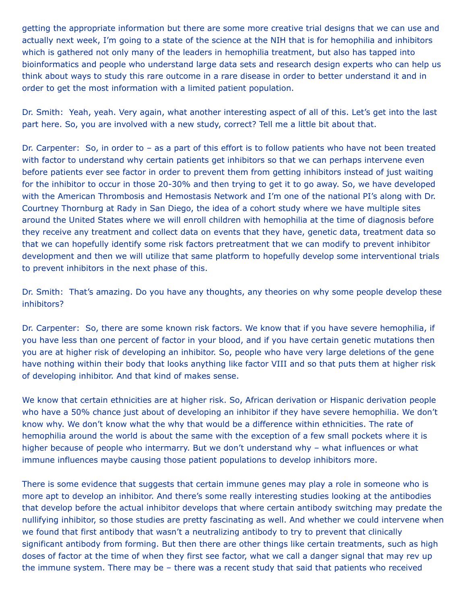getting the appropriate information but there are some more creative trial designs that we can use and actually next week, I'm going to a state of the science at the NIH that is for hemophilia and inhibitors which is gathered not only many of the leaders in hemophilia treatment, but also has tapped into bioinformatics and people who understand large data sets and research design experts who can help us think about ways to study this rare outcome in a rare disease in order to better understand it and in order to get the most information with a limited patient population.

Dr. Smith: Yeah, yeah. Very again, what another interesting aspect of all of this. Let's get into the last part here. So, you are involved with a new study, correct? Tell me a little bit about that.

Dr. Carpenter: So, in order to – as a part of this effort is to follow patients who have not been treated with factor to understand why certain patients get inhibitors so that we can perhaps intervene even before patients ever see factor in order to prevent them from getting inhibitors instead of just waiting for the inhibitor to occur in those 20-30% and then trying to get it to go away. So, we have developed with the American Thrombosis and Hemostasis Network and I'm one of the national PI's along with Dr. Courtney Thornburg at Rady in San Diego, the idea of a cohort study where we have multiple sites around the United States where we will enroll children with hemophilia at the time of diagnosis before they receive any treatment and collect data on events that they have, genetic data, treatment data so that we can hopefully identify some risk factors pretreatment that we can modify to prevent inhibitor development and then we will utilize that same platform to hopefully develop some interventional trials to prevent inhibitors in the next phase of this.

Dr. Smith: That's amazing. Do you have any thoughts, any theories on why some people develop these inhibitors?

Dr. Carpenter: So, there are some known risk factors. We know that if you have severe hemophilia, if you have less than one percent of factor in your blood, and if you have certain genetic mutations then you are at higher risk of developing an inhibitor. So, people who have very large deletions of the gene have nothing within their body that looks anything like factor VIII and so that puts them at higher risk of developing inhibitor. And that kind of makes sense.

We know that certain ethnicities are at higher risk. So, African derivation or Hispanic derivation people who have a 50% chance just about of developing an inhibitor if they have severe hemophilia. We don't know why. We don't know what the why that would be a difference within ethnicities. The rate of hemophilia around the world is about the same with the exception of a few small pockets where it is higher because of people who intermarry. But we don't understand why - what influences or what immune influences maybe causing those patient populations to develop inhibitors more.

There is some evidence that suggests that certain immune genes may play a role in someone who is more apt to develop an inhibitor. And there's some really interesting studies looking at the antibodies that develop before the actual inhibitor develops that where certain antibody switching may predate the nullifying inhibitor, so those studies are pretty fascinating as well. And whether we could intervene when we found that first antibody that wasn't a neutralizing antibody to try to prevent that clinically significant antibody from forming. But then there are other things like certain treatments, such as high doses of factor at the time of when they first see factor, what we call a danger signal that may rev up the immune system. There may be – there was a recent study that said that patients who received